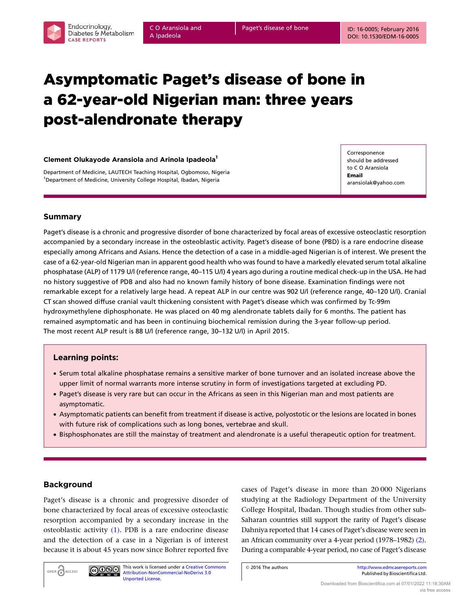# Asymptomatic Paget's disease of bone in a 62-year-old Nigerian man: three years post-alendronate therapy

## Clement Olukayode Aransiola and Arinola Ipadeola<sup>1</sup>

Department of Medicine, LAUTECH Teaching Hospital, Ogbomoso, Nigeria <sup>1</sup>Department of Medicine, University College Hospital, Ibadan, Nigeria

Corresponence should be addressed to C O Aransiola Email aransiolak@yahoo.com

# Summary

Paget's disease is a chronic and progressive disorder of bone characterized by focal areas of excessive osteoclastic resorption accompanied by a secondary increase in the osteoblastic activity. Paget's disease of bone (PBD) is a rare endocrine disease especially among Africans and Asians. Hence the detection of a case in a middle-aged Nigerian is of interest. We present the case of a 62-year-old Nigerian man in apparent good health who was found to have a markedly elevated serum total alkaline phosphatase (ALP) of 1179 U/l (reference range, 40–115 U/l) 4 years ago during a routine medical check-up in the USA. He had no history suggestive of PDB and also had no known family history of bone disease. Examination findings were not remarkable except for a relatively large head. A repeat ALP in our centre was 902 U/l (reference range, 40–120 U/l). Cranial CT scan showed diffuse cranial vault thickening consistent with Paget's disease which was confirmed by Tc-99m hydroxymethylene diphosphonate. He was placed on 40 mg alendronate tablets daily for 6 months. The patient has remained asymptomatic and has been in continuing biochemical remission during the 3-year follow-up period. The most recent ALP result is 88 U/l (reference range, 30–132 U/l) in April 2015.

# Learning points:

- † Serum total alkaline phosphatase remains a sensitive marker of bone turnover and an isolated increase above the upper limit of normal warrants more intense scrutiny in form of investigations targeted at excluding PD.
- † Paget's disease is very rare but can occur in the Africans as seen in this Nigerian man and most patients are asymptomatic.
- † Asymptomatic patients can benefit from treatment if disease is active, polyostotic or the lesions are located in bones with future risk of complications such as long bones, vertebrae and skull.
- † Bisphosphonates are still the mainstay of treatment and alendronate is a useful therapeutic option for treatment.

# Background

OPEN CACCESS

Paget's disease is a chronic and progressive disorder of bone characterized by focal areas of excessive osteoclastic resorption accompanied by a secondary increase in the osteoblastic activity [\(1\)](#page-4-0). PDB is a rare endocrine disease and the detection of a case in a Nigerian is of interest because it is about 45 years now since Bohrer reported five

[Unported License.](http://creativecommons.org/licenses/by-nc-nd/3.0/deed.en_GB)

 $\bigcirc$  000

This work is licensed under a [Creative Commons](http://creativecommons.org/licenses/by-nc-nd/3.0/deed.en_GB) [Attribution-NonCommercial-NoDerivs 3.0](http://creativecommons.org/licenses/by-nc-nd/3.0/deed.en_GB)

cases of Paget's disease in more than 20 000 Nigerians studying at the Radiology Department of the University College Hospital, Ibadan. Though studies from other sub-Saharan countries still support the rarity of Paget's disease Dahniya reported that 14 cases of Paget's disease were seen in an African community over a 4-year period (1978–1982) [\(2\).](#page-4-0) During a comparable 4-year period, no case of Paget's disease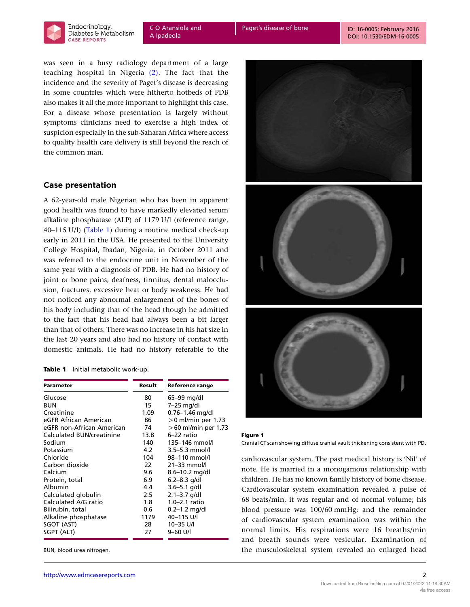<span id="page-1-0"></span>

was seen in a busy radiology department of a large teaching hospital in Nigeria [\(2\)](#page-4-0). The fact that the incidence and the severity of Paget's disease is decreasing in some countries which were hitherto hotbeds of PDB also makes it all the more important to highlight this case. For a disease whose presentation is largely without symptoms clinicians need to exercise a high index of suspicion especially in the sub-Saharan Africa where access to quality health care delivery is still beyond the reach of the common man.

# Case presentation

A 62-year-old male Nigerian who has been in apparent good health was found to have markedly elevated serum alkaline phosphatase (ALP) of 1179 U/l (reference range, 40–115 U/l) (Table 1) during a routine medical check-up early in 2011 in the USA. He presented to the University College Hospital, Ibadan, Nigeria, in October 2011 and was referred to the endocrine unit in November of the same year with a diagnosis of PDB. He had no history of joint or bone pains, deafness, tinnitus, dental malocclusion, fractures, excessive heat or body weakness. He had not noticed any abnormal enlargement of the bones of his body including that of the head though he admitted to the fact that his head had always been a bit larger than that of others. There was no increase in his hat size in the last 20 years and also had no history of contact with domestic animals. He had no history referable to the

### Table 1 Initial metabolic work-up.

| Parameter                 | Result        | <b>Reference range</b> |  |
|---------------------------|---------------|------------------------|--|
| Glucose                   | 80            | 65–99 mg/dl            |  |
| BUN                       | 15            | 7-25 mg/dl             |  |
| Creatinine                | 1.09          | $0.76 - 1.46$ mg/dl    |  |
| eGFR African American     | 86            | $>0$ ml/min per 1.73   |  |
| eGFR non-African American | 74            | $>60$ ml/min per 1.73  |  |
| Calculated BUN/creatinine | 13.8          | $6-22$ ratio           |  |
| Sodium                    | 140           | 135-146 mmol/l         |  |
| Potassium                 | 4.2           | $3.5 - 5.3$ mmol/l     |  |
| Chloride                  | 104           | 98-110 mmol/l          |  |
| Carbon dioxide            | $22 -$        | $21 - 33$ mmol/l       |  |
| Calcium                   | 9.6           | 8.6-10.2 mg/dl         |  |
| Protein, total            | 6.9           | $6.2 - 8.3$ g/dl       |  |
| Albumin                   | 4.4           | $3.6 - 5.1$ g/dl       |  |
| Calculated globulin       | 2.5           | $2.1 - 3.7$ g/dl       |  |
| Calculated A/G ratio      | 1.8           | 1.0-2.1 ratio          |  |
| Bilirubin, total          | $0.6^{\circ}$ | $0.2 - 1.2$ mg/dl      |  |
| Alkaline phosphatase      | 1179          | 40-115 U/I             |  |
| SGOT (AST)                | 28            | 10-35 U/I              |  |
| SGPT (ALT)                | 27            | 9-60 U/I               |  |

BUN, blood urea nitrogen.



| Figure 1 |                                                                              |
|----------|------------------------------------------------------------------------------|
|          | Cranial CT scan showing diffuse cranial vault thickening consistent with PD. |

cardiovascular system. The past medical history is 'Nil' of note. He is married in a monogamous relationship with children. He has no known family history of bone disease. Cardiovascular system examination revealed a pulse of 68 beats/min, it was regular and of normal volume; his blood pressure was 100/60 mmHg; and the remainder of cardiovascular system examination was within the normal limits. His respirations were 16 breaths/min and breath sounds were vesicular. Examination of the musculoskeletal system revealed an enlarged head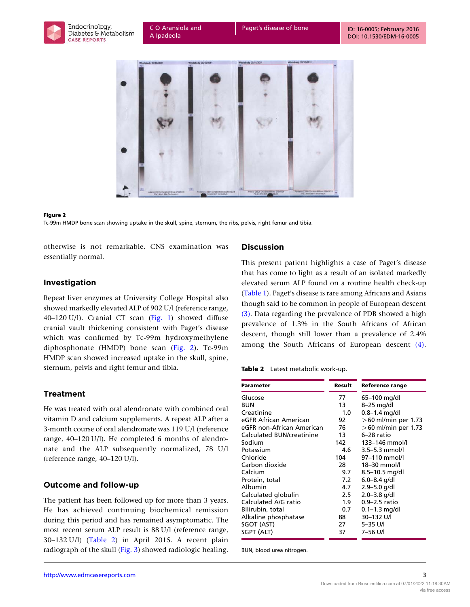<span id="page-2-0"></span>

C O Aransiola and A Ipadeola



#### Figure 2

Tc-99m HMDP bone scan showing uptake in the skull, spine, sternum, the ribs, pelvis, right femur and tibia.

otherwise is not remarkable. CNS examination was essentially normal.

# Investigation

Repeat liver enzymes at University College Hospital also showed markedly elevated ALP of 902 U/l (reference range, 40–120 U/l). Cranial CT scan ([Fig. 1\)](#page-1-0) showed diffuse cranial vault thickening consistent with Paget's disease which was confirmed by Tc-99m hydroxymethylene diphosphonate (HMDP) bone scan (Fig. 2). Tc-99m HMDP scan showed increased uptake in the skull, spine, sternum, pelvis and right femur and tibia.

# Treatment

He was treated with oral alendronate with combined oral vitamin D and calcium supplements. A repeat ALP after a 3-month course of oral alendronate was 119 U/l (reference range, 40–120 U/l). He completed 6 months of alendronate and the ALP subsequently normalized, 78 U/l (reference range, 40–120 U/l).

# Outcome and follow-up

The patient has been followed up for more than 3 years. He has achieved continuing biochemical remission during this period and has remained asymptomatic. The most recent serum ALP result is 88 U/l (reference range, 30–132 U/l) (Table 2) in April 2015. A recent plain radiograph of the skull [\(Fig. 3\)](#page-3-0) showed radiologic healing.

## Discussion

This present patient highlights a case of Paget's disease that has come to light as a result of an isolated markedly elevated serum ALP found on a routine health check-up ([Table 1\)](#page-1-0). Paget's disease is rare among Africans and Asians though said to be common in people of European descent [\(3\)](#page-4-0). Data regarding the prevalence of PDB showed a high prevalence of 1.3% in the South Africans of African descent, though still lower than a prevalence of 2.4% among the South Africans of European descent [\(4\).](#page-4-0)

### Table 2 Latest metabolic work-up.

| <b>Parameter</b>                 | Result           | <b>Reference range</b> |
|----------------------------------|------------------|------------------------|
| Glucose                          | 77               | 65–100 mg/dl           |
| BUN                              | 13               | 8–25 mg/dl             |
| Creatinine                       | 1.0              | $0.8 - 1.4$ mg/dl      |
| eGFR African American            | 92               | $>60$ ml/min per 1.73  |
| eGFR non-African American        | 76               | $>60$ ml/min per 1.73  |
| <b>Calculated BUN/creatinine</b> | 13               | 6-28 ratio             |
| Sodium                           | 142              | 133-146 mmol/l         |
| Potassium                        | 4.6              | $3.5 - 5.3$ mmol/l     |
| Chloride                         | 104              | 97-110 mmol/l          |
| Carbon dioxide                   | 28               | 18-30 mmol/l           |
| Calcium                          | 9.7              | 8.5-10.5 mg/dl         |
| Protein, total                   | 7.2              | $6.0 - 8.4$ g/dl       |
| Albumin                          | 4.7              | $2.9 - 5.0$ g/dl       |
| Calculated globulin              | 2.5              | $2.0 - 3.8$ g/dl       |
| Calculated A/G ratio             | 1.9 <sup>°</sup> | 0.9–2.5 ratio          |
| Bilirubin, total                 | 0.7              | $0.1 - 1.3$ mg/dl      |
| Alkaline phosphatase             | 88               | 30-132 U/I             |
| SGOT (AST)                       | 27               | 5-35 U/I               |
| SGPT (ALT)                       | 37               | 7–56 U/l               |

BUN, blood urea nitrogen.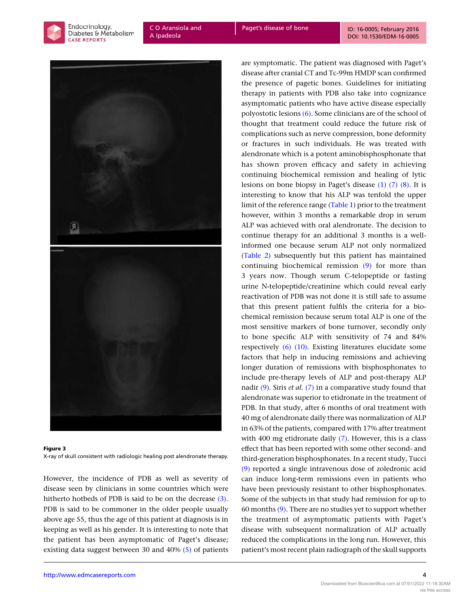<span id="page-3-0"></span>Endocrinology. **CASE REPORTS** 

C O Aransiola and A Ipadeola

Paget's disease of bone ID: 16-0005; February 2016 [DOI: 10.1530/EDM-16-0005](http://dx.doi.org/10.1530/EDM-16-0005)



Figure 3 X-ray of skull consistent with radiologic healing post alendronate therapy.

However, the incidence of PDB as well as severity of disease seen by clinicians in some countries which were hitherto hotbeds of PDB is said to be on the decrease [\(3\)](#page-4-0). PDB is said to be commoner in the older people usually above age 55, thus the age of this patient at diagnosis is in keeping as well as his gender. It is interesting to note that the patient has been asymptomatic of Paget's disease; existing data suggest between 30 and 40% [\(5\)](#page-4-0) of patients

are symptomatic. The patient was diagnosed with Paget's disease after cranial CT and Tc-99m HMDP scan confirmed the presence of pagetic bones. Guidelines for initiating therapy in patients with PDB also take into cognizance asymptomatic patients who have active disease especially polyostotic lesions [\(6\)](#page-4-0). Some clinicians are of the school of thought that treatment could reduce the future risk of complications such as nerve compression, bone deformity or fractures in such individuals. He was treated with alendronate which is a potent aminobisphosphonate that has shown proven efficacy and safety in achieving continuing biochemical remission and healing of lytic lesions on bone biopsy in Paget's disease [\(1\) \(7\) \(8\)](#page-4-0). It is interesting to know that his ALP was tenfold the upper limit of the reference range [\(Table 1\)](#page-1-0) prior to the treatment however, within 3 months a remarkable drop in serum ALP was achieved with oral alendronate. The decision to continue therapy for an additional 3 months is a wellinformed one because serum ALP not only normalized ([Table 2\)](#page-2-0) subsequently but this patient has maintained continuing biochemical remission [\(9\)](#page-4-0) for more than 3 years now. Though serum C-telopeptide or fasting urine N-telopeptide/creatinine which could reveal early reactivation of PDB was not done it is still safe to assume that this present patient fulfils the criteria for a biochemical remission because serum total ALP is one of the most sensitive markers of bone turnover, secondly only to bone specific ALP with sensitivity of 74 and 84% respectively [\(6\) \(10\).](#page-4-0) Existing literatures elucidate some factors that help in inducing remissions and achieving longer duration of remissions with bisphosphonates to include pre-therapy levels of ALP and post-therapy ALP nadir  $(9)$ . Siris *et al.* [\(7\)](#page-4-0) in a comparative study found that alendronate was superior to etidronate in the treatment of PDB. In that study, after 6 months of oral treatment with 40 mg of alendronate daily there was normalization of ALP in 63% of the patients, compared with 17% after treatment with 400 mg etidronate daily [\(7\).](#page-4-0) However, this is a class effect that has been reported with some other second- and third-generation bisphosphonates. In a recent study, Tucci [\(9\)](#page-4-0) reported a single intravenous dose of zoledronic acid can induce long-term remissions even in patients who have been previously resistant to other bisphosphonates. Some of the subjects in that study had remission for up to 60 months [\(9\).](#page-4-0) There are no studies yet to support whether the treatment of asymptomatic patients with Paget's disease with subsequent normalization of ALP actually reduced the complications in the long run. However, this patient's most recent plain radiograph of the skull supports